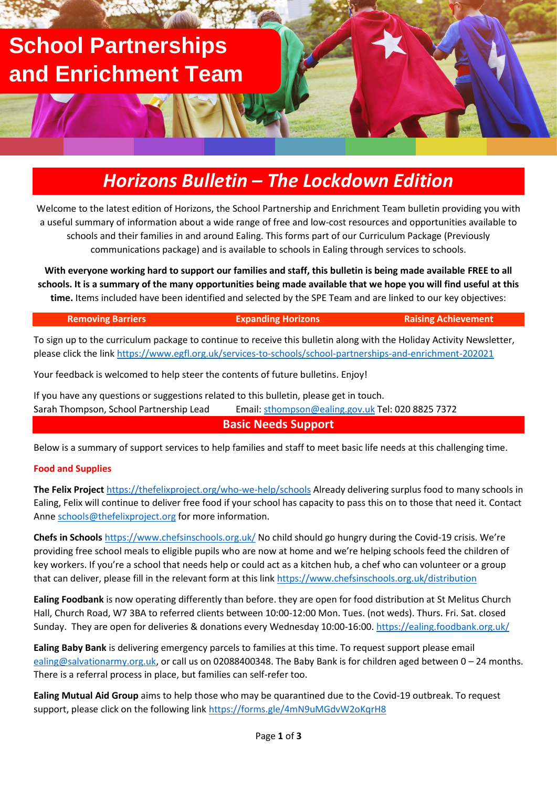# **School Partnerships and Enrichment Team**

## *Horizons Bulletin – The Lockdown Edition*

Welcome to the latest edition of Horizons, the School Partnership and Enrichment Team bulletin providing you with a useful summary of information about a wide range of free and low-cost resources and opportunities available to schools and their families in and around Ealing. This forms part of our Curriculum Package (Previously communications package) and is available to schools in Ealing through services to schools.

**With everyone working hard to support our families and staff, this bulletin is being made available FREE to all schools. It is a summary of the many opportunities being made available that we hope you will find useful at this time.** Items included have been identified and selected by the SPE Team and are linked to our key objectives:

#### **Removing Barriers Expanding Horizons Raising Achievement**

To sign up to the curriculum package to continue to receive this bulletin along with the Holiday Activity Newsletter, please click the link<https://www.egfl.org.uk/services-to-schools/school-partnerships-and-enrichment-202021>

Your feedback is welcomed to help steer the contents of future bulletins. Enjoy!

If you have any questions or suggestions related to this bulletin, please get in touch. Sarah Thompson, School Partnership Lead Email: [sthompson@ealing.gov.uk](mailto:sthompson@ealing.gov.uk) Tel: 020 8825 7372

**Basic Needs Support**

Below is a summary of support services to help families and staff to meet basic life needs at this challenging time.

### **Food and Supplies**

**The Felix Project** <https://thefelixproject.org/who-we-help/schools> Already delivering surplus food to many schools in Ealing, Felix will continue to deliver free food if your school has capacity to pass this on to those that need it. Contact Anne [schools@thefelixproject.org](mailto:schools@thefelixproject.org) for more information.

**Chefs in Schools** <https://www.chefsinschools.org.uk/> No child should go hungry during the Covid-19 crisis. We're providing free school meals to eligible pupils who are now at home and we're helping schools feed the children of key workers. If you're a school that needs help or could act as a kitchen hub, a chef who can volunteer or a group that can deliver, please fill in the relevant form at this link<https://www.chefsinschools.org.uk/distribution>

**Ealing Foodbank** is now operating differently than before. they are open for food distribution at St Melitus Church Hall, Church Road, W7 3BA to referred clients between 10:00-12:00 Mon. Tues. (not weds). Thurs. Fri. Sat. closed Sunday. They are open for deliveries & donations every Wednesday 10:00-16:00[. https://ealing.foodbank.org.uk/](https://ealing.foodbank.org.uk/)

**Ealing Baby Bank** is delivering emergency parcels to families at this time. To request support please email [ealing@salvationarmy.org.uk,](mailto:ealing@salvationarmy.org.uk) or call us on 02088400348. The Baby Bank is for children aged between 0 – 24 months. There is a referral process in place, but families can self-refer too.

**Ealing Mutual Aid Group** aims to help those who may be quarantined due to the Covid-19 outbreak. To request support, please click on the following link<https://forms.gle/4mN9uMGdvW2oKqrH8>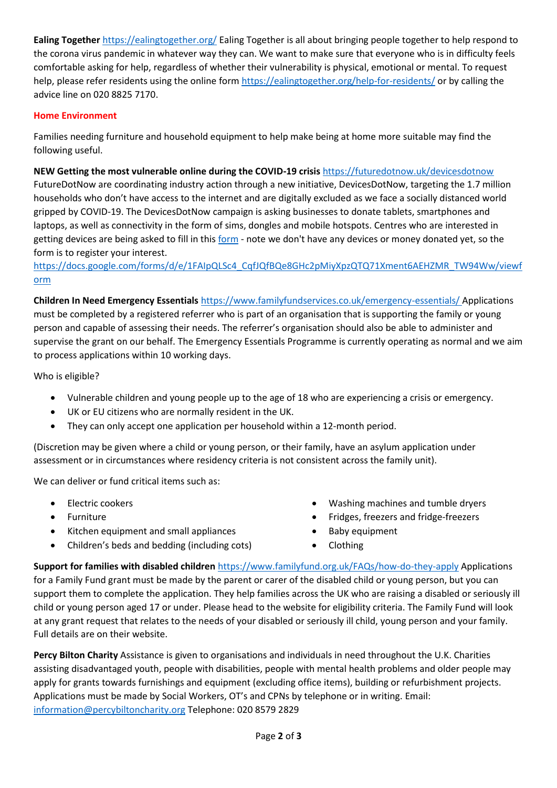**Ealing Together** <https://ealingtogether.org/> Ealing Together is all about bringing people together to help respond to the corona virus pandemic in whatever way they can. We want to make sure that everyone who is in difficulty feels comfortable asking for help, regardless of whether their vulnerability is physical, emotional or mental. To request help, please refer residents using the online form<https://ealingtogether.org/help-for-residents/> or by calling the advice line on 020 8825 7170.

### **Home Environment**

Families needing furniture and household equipment to help make being at home more suitable may find the following useful.

**NEW Getting the most vulnerable online during the COVID-19 crisis** <https://futuredotnow.uk/devicesdotnow>

FutureDotNow are coordinating industry action through a new initiative, DevicesDotNow, targeting the 1.7 million households who don't have access to the internet and are digitally excluded as we face a socially distanced world gripped by COVID-19. The DevicesDotNow campaign is asking businesses to donate tablets, smartphones and laptops, as well as connectivity in the form of sims, dongles and mobile hotspots. Centres who are interested in getting devices are being asked to fill in this [form](https://protect-eu.mimecast.com/s/2WltCWnkpfDpQPEixsV3a?domain=docs.google.com) - note we don't have any devices or money donated yet, so the form is to register your interest.

[https://docs.google.com/forms/d/e/1FAIpQLSc4\\_CqfJQfBQe8GHc2pMiyXpzQTQ71Xment6AEHZMR\\_TW94Ww/viewf](https://docs.google.com/forms/d/e/1FAIpQLSc4_CqfJQfBQe8GHc2pMiyXpzQTQ71Xment6AEHZMR_TW94Ww/viewform) [orm](https://docs.google.com/forms/d/e/1FAIpQLSc4_CqfJQfBQe8GHc2pMiyXpzQTQ71Xment6AEHZMR_TW94Ww/viewform)

**Children In Need Emergency Essentials** <https://www.familyfundservices.co.uk/emergency-essentials/> Applications must be completed by a registered referrer who is part of an organisation that is supporting the family or young person and capable of assessing their needs. The referrer's organisation should also be able to administer and supervise the grant on our behalf. The Emergency Essentials Programme is currently operating as normal and we aim to process applications within 10 working days.

Who is eligible?

- Vulnerable children and young people up to the age of 18 who are experiencing a crisis or emergency.
- UK or EU citizens who are normally resident in the UK.
- They can only accept one application per household within a 12-month period.

(Discretion may be given where a child or young person, or their family, have an asylum application under assessment or in circumstances where residency criteria is not consistent across the family unit).

We can deliver or fund critical items such as:

- Electric cookers
- **Furniture**
- Kitchen equipment and small appliances
- Children's beds and bedding (including cots)
- Washing machines and tumble dryers
- Fridges, freezers and fridge-freezers
- Baby equipment
- Clothing

**Support for families with disabled children** <https://www.familyfund.org.uk/FAQs/how-do-they-apply> Applications for a Family Fund grant must be made by the parent or carer of the disabled child or young person, but you can support them to complete the application. They help families across the UK who are raising a disabled or seriously ill child or young person aged 17 or under. Please head to the website for eligibility criteria. The Family Fund will look at any grant request that relates to the needs of your disabled or seriously ill child, young person and your family. Full details are on their website.

**Percy Bilton Charity** Assistance is given to organisations and individuals in need throughout the U.K. Charities assisting disadvantaged youth, people with disabilities, people with mental health problems and older people may apply for grants towards furnishings and equipment (excluding office items), building or refurbishment projects. Applications must be made by Social Workers, OT's and CPNs by telephone or in writing. Email: [information@percybiltoncharity.org](mailto:information@percybiltoncharity.org) Telephone: 020 8579 2829